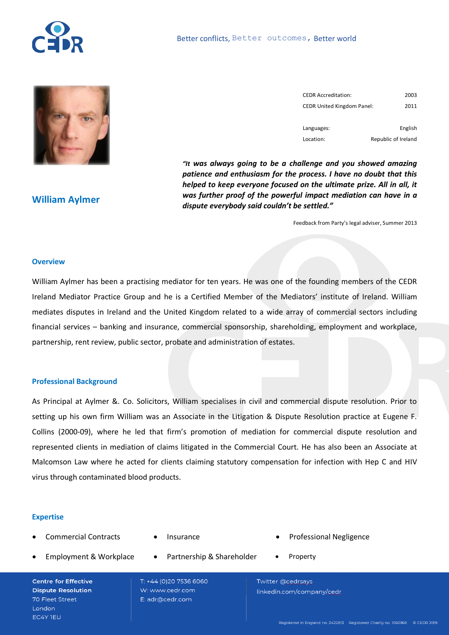



**William Aylmer**

| <b>CEDR Accreditation:</b>        | 2003                |
|-----------------------------------|---------------------|
| <b>CEDR United Kingdom Panel:</b> | 2011                |
| Languages:                        | English             |
| Location:                         | Republic of Ireland |

*"It was always going to be a challenge and you showed amazing patience and enthusiasm for the process. I have no doubt that this helped to keep everyone focused on the ultimate prize. All in all, it was further proof of the powerful impact mediation can have in a dispute everybody said couldn't be settled."* 

Feedback from Party's legal adviser, Summer 2013

#### **Overview**

William Aylmer has been a practising mediator for ten years. He was one of the founding members of the CEDR Ireland Mediator Practice Group and he is a Certified Member of the Mediators' institute of Ireland. William mediates disputes in Ireland and the United Kingdom related to a wide array of commercial sectors including financial services – banking and insurance, commercial sponsorship, shareholding, employment and workplace, partnership, rent review, public sector, probate and administration of estates.

#### **Professional Background**

As Principal at Aylmer &. Co. Solicitors, William specialises in civil and commercial dispute resolution. Prior to setting up his own firm William was an Associate in the Litigation & Dispute Resolution practice at Eugene F. Collins (2000-09), where he led that firm's promotion of mediation for commercial dispute resolution and represented clients in mediation of claims litigated in the Commercial Court. He has also been an Associate at Malcomson Law where he acted for clients claiming statutory compensation for infection with Hep C and HIV virus through contaminated blood products.

#### **Expertise**

- Commercial Contracts
- **Insurance**

• Professional Negligence

• Employment & Workplace

**Centre for Effective Dispute Resolution** 70 Fleet Street London EC4Y TEU

• Partnership & Shareholder

T: +44 (0)20 7536 6060 W: www.cedr.com E: adr@cedr.com

**Property** 

Twitter @cedrsays linkedin.com/company/cedr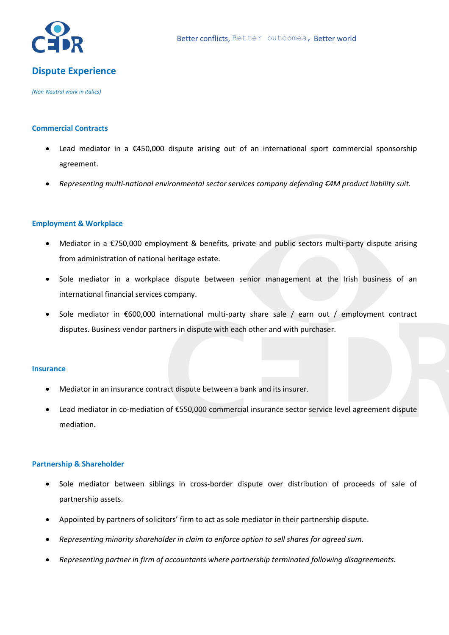

# **Dispute Experience**

*(Non-Neutral work in italics)*

# **Commercial Contracts**

- Lead mediator in a  $£450,000$  dispute arising out of an international sport commercial sponsorship agreement.
- *Representing multi-national environmental sector services company defending €4M product liability suit.*

# **Employment & Workplace**

- Mediator in a  $E$ 750,000 employment & benefits, private and public sectors multi-party dispute arising from administration of national heritage estate.
- Sole mediator in a workplace dispute between senior management at the Irish business of an international financial services company.
- Sole mediator in €600,000 international multi-party share sale / earn out / employment contract disputes. Business vendor partners in dispute with each other and with purchaser.

#### **Insurance**

- Mediator in an insurance contract dispute between a bank and its insurer.
- Lead mediator in co-mediation of €550,000 commercial insurance sector service level agreement dispute mediation.

#### **Partnership & Shareholder**

- Sole mediator between siblings in cross-border dispute over distribution of proceeds of sale of partnership assets.
- Appointed by partners of solicitors' firm to act as sole mediator in their partnership dispute.
- *Representing minority shareholder in claim to enforce option to sell shares for agreed sum.*
- *Representing partner in firm of accountants where partnership terminated following disagreements.*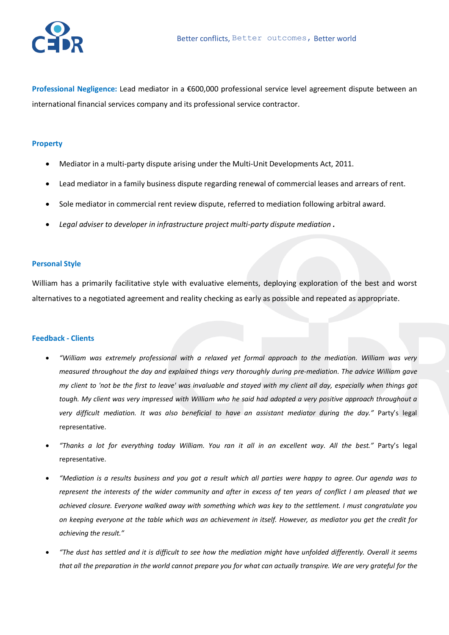

**Professional Negligence:** Lead mediator in a €600,000 professional service level agreement dispute between an international financial services company and its professional service contractor.

## **Property**

- Mediator in a multi-party dispute arising under the Multi-Unit Developments Act, 2011.
- Lead mediator in a family business dispute regarding renewal of commercial leases and arrears of rent.
- Sole mediator in commercial rent review dispute, referred to mediation following arbitral award.
- *Legal adviser to developer in infrastructure project multi-party dispute mediation .*

# **Personal Style**

William has a primarily facilitative style with evaluative elements, deploying exploration of the best and worst alternatives to a negotiated agreement and reality checking as early as possible and repeated as appropriate.

# **Feedback - Clients**

- *"William was extremely professional with a relaxed yet formal approach to the mediation. William was very measured throughout the day and explained things very thoroughly during pre-mediation. The advice William gave my client to 'not be the first to leave' was invaluable and stayed with my client all day, especially when things got tough. My client was very impressed with William who he said had adopted a very positive approach throughout a very difficult mediation. It was also beneficial to have an assistant mediator during the day."* Party's legal representative.
- *"Thanks a lot for everything today William. You ran it all in an excellent way. All the best."* Party's legal representative.
- *"Mediation is a results business and you got a result which all parties were happy to agree. Our agenda was to represent the interests of the wider community and after in excess of ten years of conflict I am pleased that we achieved closure. Everyone walked away with something which was key to the settlement. I must congratulate you on keeping everyone at the table which was an achievement in itself. However, as mediator you get the credit for achieving the result."*
- *"The dust has settled and it is difficult to see how the mediation might have unfolded differently. Overall it seems that all the preparation in the world cannot prepare you for what can actually transpire. We are very grateful for the*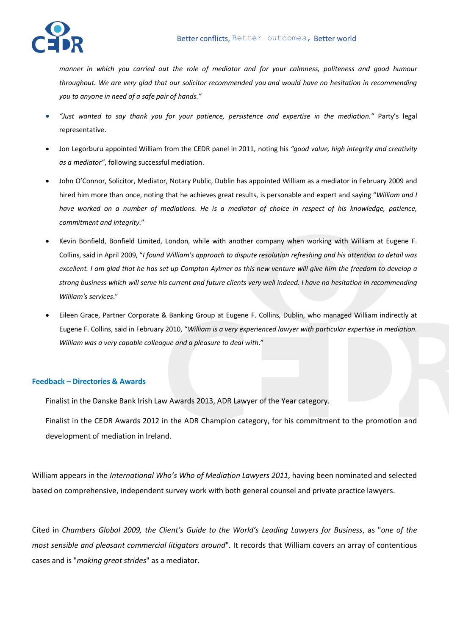*manner in which you carried out the role of mediator and for your calmness, politeness and good humour throughout. We are very glad that our solicitor recommended you and would have no hesitation in recommending you to anyone in need of a safe pair of hands."* 

- *"Just wanted to say thank you for your patience, persistence and expertise in the mediation."* Party's legal representative.
- Jon Legorburu appointed William from the CEDR panel in 2011, noting his *"good value, high integrity and creativity as a mediator"*, following successful mediation.
- John O'Connor, Solicitor, Mediator, Notary Public, Dublin has appointed William as a mediator in February 2009 and hired him more than once, noting that he achieves great results, is personable and expert and saying "*William and I*  have worked on a number of mediations. He is a mediator of choice in respect of his knowledge, patience, *commitment and integrity.*"
- Kevin Bonfield, Bonfield Limited, London, while with another company when working with William at Eugene F. Collins, said in April 2009, "*I found William's approach to dispute resolution refreshing and his attention to detail was excellent. I am glad that he has set up Compton Aylmer as this new venture will give him the freedom to develop a strong business which will serve his current and future clients very well indeed. I have no hesitation in recommending William's services*."
- Eileen Grace, Partner Corporate & Banking Group at Eugene F. Collins, Dublin, who managed William indirectly at Eugene F. Collins, said in February 2010, "*William is a very experienced lawyer with particular expertise in mediation. William was a very capable colleague and a pleasure to deal with*."

# **Feedback – Directories & Awards**

Finalist in the Danske Bank Irish Law Awards 2013, ADR Lawyer of the Year category.

Finalist in the CEDR Awards 2012 in the ADR Champion category, for his commitment to the promotion and development of mediation in Ireland.

William appears in the *International Who's Who of Mediation Lawyers 2011*, having been nominated and selected based on comprehensive, independent survey work with both general counsel and private practice lawyers.

Cited in *Chambers Global 2009, the Client's Guide to the World's Leading Lawyers for Business*, as "*one of the most sensible and pleasant commercial litigators around*". It records that William covers an array of contentious cases and is "*making great strides*" as a mediator.